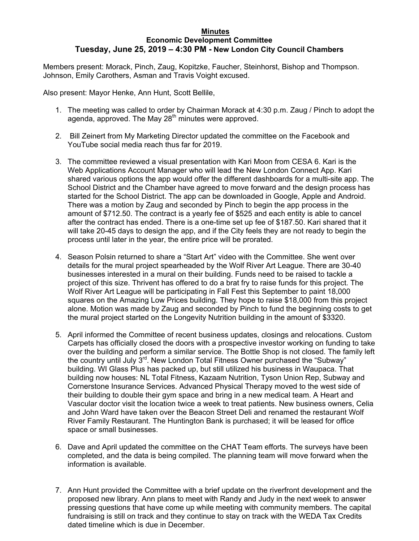## **Minutes Economic Development Committee Tuesday, June 25, 2019 – 4:30 PM - New London City Council Chambers**

Members present: Morack, Pinch, Zaug, Kopitzke, Faucher, Steinhorst, Bishop and Thompson. Johnson, Emily Carothers, Asman and Travis Voight excused.

Also present: Mayor Henke, Ann Hunt, Scott Bellile,

- 1. The meeting was called to order by Chairman Morack at 4:30 p.m. Zaug / Pinch to adopt the agenda, approved. The May  $28<sup>th</sup>$  minutes were approved.
- 2. Bill Zeinert from My Marketing Director updated the committee on the Facebook and YouTube social media reach thus far for 2019.
- 3. The committee reviewed a visual presentation with Kari Moon from CESA 6. Kari is the Web Applications Account Manager who will lead the New London Connect App. Kari shared various options the app would offer the different dashboards for a multi-site app. The School District and the Chamber have agreed to move forward and the design process has started for the School District. The app can be downloaded in Google, Apple and Android. There was a motion by Zaug and seconded by Pinch to begin the app process in the amount of \$712.50. The contract is a yearly fee of \$525 and each entity is able to cancel after the contract has ended. There is a one-time set up fee of \$187.50. Kari shared that it will take 20-45 days to design the app, and if the City feels they are not ready to begin the process until later in the year, the entire price will be prorated.
- 4. Season Polsin returned to share a "Start Art" video with the Committee. She went over details for the mural project spearheaded by the Wolf River Art League. There are 30-40 businesses interested in a mural on their building. Funds need to be raised to tackle a project of this size. Thrivent has offered to do a brat fry to raise funds for this project. The Wolf River Art League will be participating in Fall Fest this September to paint 18,000 squares on the Amazing Low Prices building. They hope to raise \$18,000 from this project alone. Motion was made by Zaug and seconded by Pinch to fund the beginning costs to get the mural project started on the Longevity Nutrition building in the amount of \$3320.
- 5. April informed the Committee of recent business updates, closings and relocations. Custom Carpets has officially closed the doors with a prospective investor working on funding to take over the building and perform a similar service. The Bottle Shop is not closed. The family left the country until July  $3<sup>rd</sup>$ . New London Total Fitness Owner purchased the "Subway" building. WI Glass Plus has packed up, but still utilized his business in Waupaca. That building now houses: NL Total Fitness, Kazaam Nutrition, Tyson Union Rep, Subway and Cornerstone Insurance Services. Advanced Physical Therapy moved to the west side of their building to double their gym space and bring in a new medical team. A Heart and Vascular doctor visit the location twice a week to treat patients. New business owners, Celia and John Ward have taken over the Beacon Street Deli and renamed the restaurant Wolf River Family Restaurant. The Huntington Bank is purchased; it will be leased for office space or small businesses.
- 6. Dave and April updated the committee on the CHAT Team efforts. The surveys have been completed, and the data is being compiled. The planning team will move forward when the information is available.
- 7. Ann Hunt provided the Committee with a brief update on the riverfront development and the proposed new library. Ann plans to meet with Randy and Judy in the next week to answer pressing questions that have come up while meeting with community members. The capital fundraising is still on track and they continue to stay on track with the WEDA Tax Credits dated timeline which is due in December.